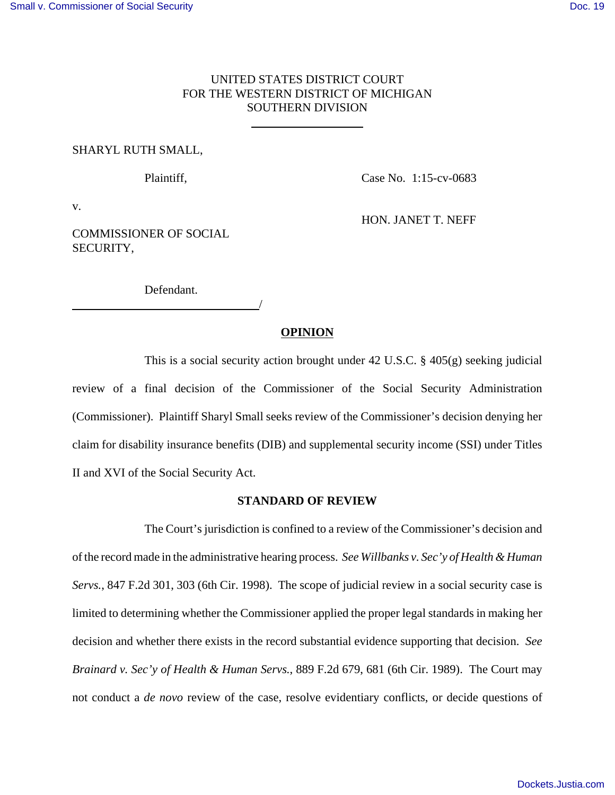# UNITED STATES DISTRICT COURT FOR THE WESTERN DISTRICT OF MICHIGAN SOUTHERN DIVISION

 $\overline{a}$ 

### SHARYL RUTH SMALL,

Plaintiff, Case No. 1:15-cv-0683

HON. JANET T. NEFF

v.

COMMISSIONER OF SOCIAL SECURITY,

Defendant.

<u>/</u>

## **OPINION**

This is a social security action brought under 42 U.S.C.  $\S$  405(g) seeking judicial review of a final decision of the Commissioner of the Social Security Administration (Commissioner). Plaintiff Sharyl Small seeks review of the Commissioner's decision denying her claim for disability insurance benefits (DIB) and supplemental security income (SSI) under Titles II and XVI of the Social Security Act.

#### **STANDARD OF REVIEW**

The Court's jurisdiction is confined to a review of the Commissioner's decision and of the record made in the administrative hearing process. *See Willbanks v. Sec'y of Health & Human Servs.*, 847 F.2d 301, 303 (6th Cir. 1998). The scope of judicial review in a social security case is limited to determining whether the Commissioner applied the proper legal standards in making her decision and whether there exists in the record substantial evidence supporting that decision. *See Brainard v. Sec'y of Health & Human Servs.*, 889 F.2d 679, 681 (6th Cir. 1989). The Court may not conduct a *de novo* review of the case, resolve evidentiary conflicts, or decide questions of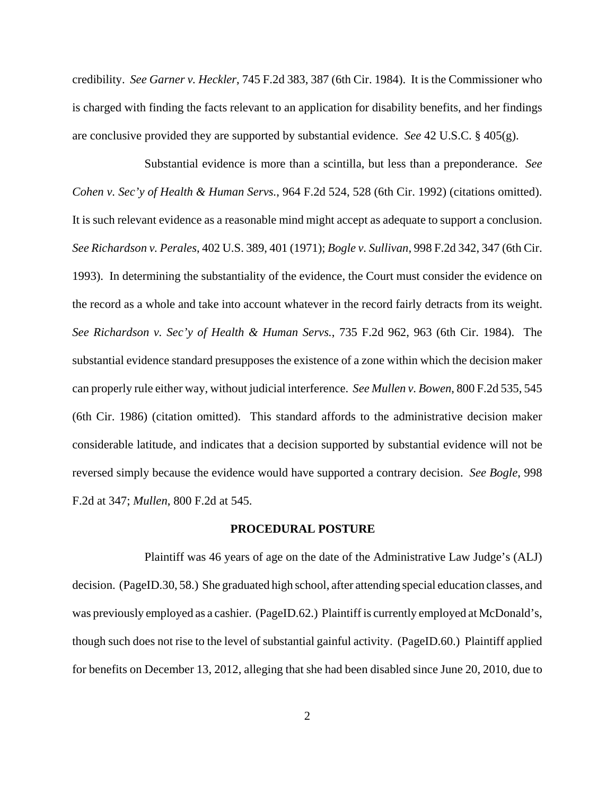credibility. *See Garner v. Heckler*, 745 F.2d 383, 387 (6th Cir. 1984). It is the Commissioner who is charged with finding the facts relevant to an application for disability benefits, and her findings are conclusive provided they are supported by substantial evidence. *See* 42 U.S.C. § 405(g).

Substantial evidence is more than a scintilla, but less than a preponderance. *See Cohen v. Sec'y of Health & Human Servs.*, 964 F.2d 524, 528 (6th Cir. 1992) (citations omitted). It is such relevant evidence as a reasonable mind might accept as adequate to support a conclusion. *See Richardson v. Perales*, 402 U.S. 389, 401 (1971); *Bogle v. Sullivan*, 998 F.2d 342, 347 (6th Cir. 1993). In determining the substantiality of the evidence, the Court must consider the evidence on the record as a whole and take into account whatever in the record fairly detracts from its weight. *See Richardson v. Sec'y of Health & Human Servs.*, 735 F.2d 962, 963 (6th Cir. 1984). The substantial evidence standard presupposes the existence of a zone within which the decision maker can properly rule either way, without judicial interference. *See Mullen v. Bowen*, 800 F.2d 535, 545 (6th Cir. 1986) (citation omitted). This standard affords to the administrative decision maker considerable latitude, and indicates that a decision supported by substantial evidence will not be reversed simply because the evidence would have supported a contrary decision. *See Bogle*, 998 F.2d at 347; *Mullen*, 800 F.2d at 545.

#### **PROCEDURAL POSTURE**

Plaintiff was 46 years of age on the date of the Administrative Law Judge's (ALJ) decision. (PageID.30, 58.) She graduated high school, after attending special education classes, and was previously employed as a cashier. (PageID.62.) Plaintiff is currently employed at McDonald's, though such does not rise to the level of substantial gainful activity. (PageID.60.) Plaintiff applied for benefits on December 13, 2012, alleging that she had been disabled since June 20, 2010, due to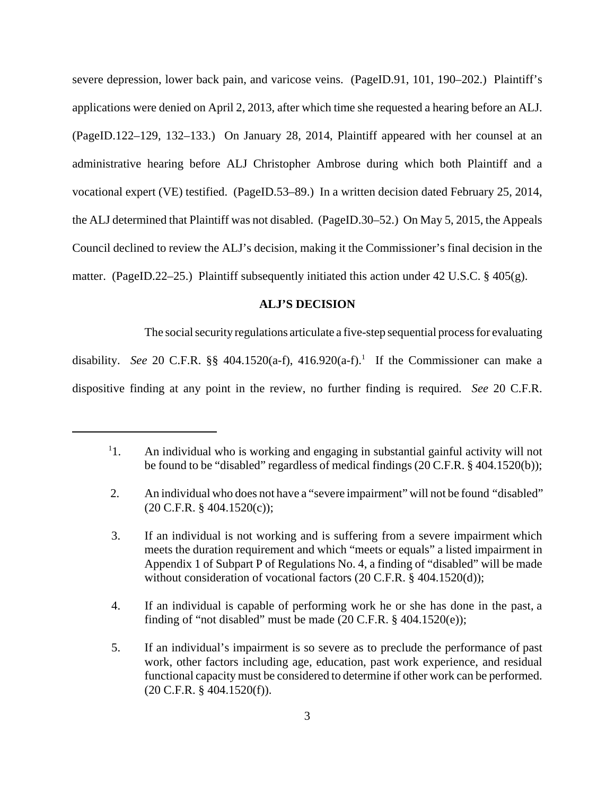severe depression, lower back pain, and varicose veins. (PageID.91, 101, 190–202.) Plaintiff's applications were denied on April 2, 2013, after which time she requested a hearing before an ALJ. (PageID.122–129, 132–133.) On January 28, 2014, Plaintiff appeared with her counsel at an administrative hearing before ALJ Christopher Ambrose during which both Plaintiff and a vocational expert (VE) testified. (PageID.53–89.) In a written decision dated February 25, 2014, the ALJ determined that Plaintiff was not disabled. (PageID.30–52.) On May 5, 2015, the Appeals Council declined to review the ALJ's decision, making it the Commissioner's final decision in the matter. (PageID.22–25.) Plaintiff subsequently initiated this action under 42 U.S.C. § 405(g).

## **ALJ'S DECISION**

The social security regulations articulate a five-step sequential process for evaluating

disability. See 20 C.F.R.  $\S\S 404.1520(a-f)$ ,  $416.920(a-f)$ .<sup>1</sup> If the Commissioner can make a dispositive finding at any point in the review, no further finding is required. *See* 20 C.F.R.

 $^{1}$ 1. 1. An individual who is working and engaging in substantial gainful activity will not be found to be "disabled" regardless of medical findings (20 C.F.R. § 404.1520(b));

 <sup>2.</sup> An individual who does not have a "severe impairment" will not be found "disabled" (20 C.F.R. § 404.1520(c));

 <sup>3.</sup> If an individual is not working and is suffering from a severe impairment which meets the duration requirement and which "meets or equals" a listed impairment in Appendix 1 of Subpart P of Regulations No. 4, a finding of "disabled" will be made without consideration of vocational factors (20 C.F.R. § 404.1520(d));

 <sup>4.</sup> If an individual is capable of performing work he or she has done in the past, a finding of "not disabled" must be made  $(20 \text{ C.F.R.} \$  404.1520(e));

 <sup>5.</sup> If an individual's impairment is so severe as to preclude the performance of past work, other factors including age, education, past work experience, and residual functional capacity must be considered to determine if other work can be performed. (20 C.F.R. § 404.1520(f)).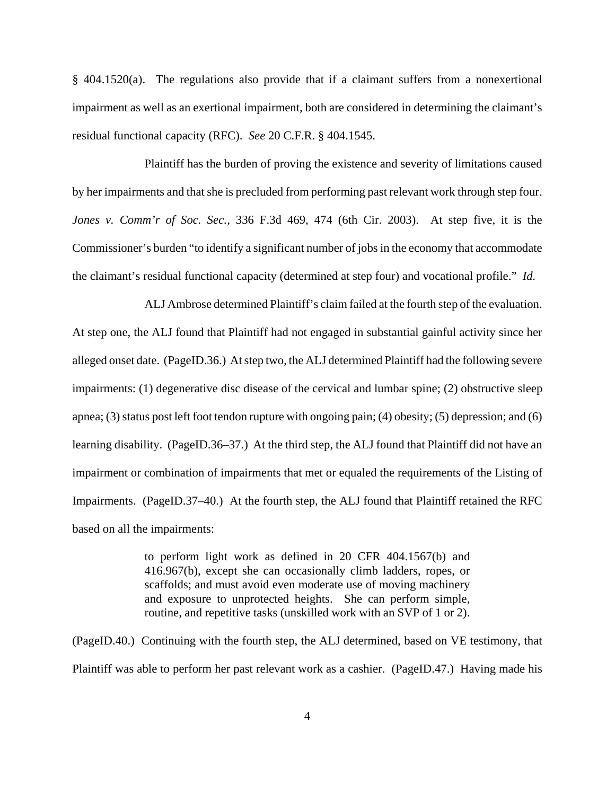§ 404.1520(a). The regulations also provide that if a claimant suffers from a nonexertional impairment as well as an exertional impairment, both are considered in determining the claimant's residual functional capacity (RFC). *See* 20 C.F.R. § 404.1545.

Plaintiff has the burden of proving the existence and severity of limitations caused by her impairments and that she is precluded from performing past relevant work through step four. *Jones v. Comm'r of Soc. Sec.*, 336 F.3d 469, 474 (6th Cir. 2003). At step five, it is the Commissioner's burden "to identify a significant number of jobs in the economy that accommodate the claimant's residual functional capacity (determined at step four) and vocational profile." *Id.*

ALJ Ambrose determined Plaintiff's claim failed at the fourth step of the evaluation. At step one, the ALJ found that Plaintiff had not engaged in substantial gainful activity since her alleged onset date. (PageID.36.) At step two, the ALJ determined Plaintiff had the following severe impairments: (1) degenerative disc disease of the cervical and lumbar spine; (2) obstructive sleep apnea; (3) status post left foot tendon rupture with ongoing pain; (4) obesity; (5) depression; and (6) learning disability. (PageID.36–37.) At the third step, the ALJ found that Plaintiff did not have an impairment or combination of impairments that met or equaled the requirements of the Listing of Impairments. (PageID.37–40.) At the fourth step, the ALJ found that Plaintiff retained the RFC based on all the impairments:

> to perform light work as defined in 20 CFR 404.1567(b) and 416.967(b), except she can occasionally climb ladders, ropes, or scaffolds; and must avoid even moderate use of moving machinery and exposure to unprotected heights. She can perform simple, routine, and repetitive tasks (unskilled work with an SVP of 1 or 2).

(PageID.40.) Continuing with the fourth step, the ALJ determined, based on VE testimony, that Plaintiff was able to perform her past relevant work as a cashier. (PageID.47.) Having made his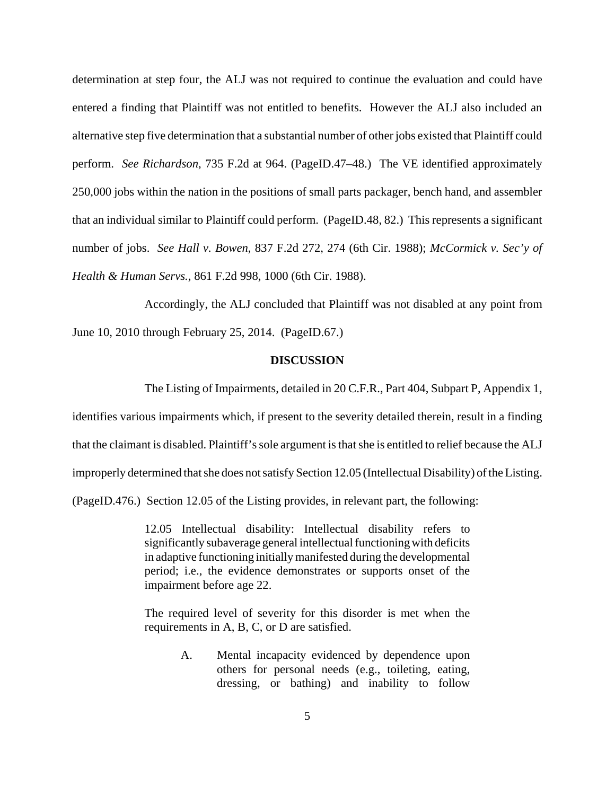determination at step four, the ALJ was not required to continue the evaluation and could have entered a finding that Plaintiff was not entitled to benefits. However the ALJ also included an alternative step five determination that a substantial number of other jobs existed that Plaintiff could perform. *See Richardson*, 735 F.2d at 964. (PageID.47–48.) The VE identified approximately 250,000 jobs within the nation in the positions of small parts packager, bench hand, and assembler that an individual similar to Plaintiff could perform. (PageID.48, 82.) This represents a significant number of jobs. *See Hall v. Bowen*, 837 F.2d 272, 274 (6th Cir. 1988); *McCormick v. Sec'y of Health & Human Servs.*, 861 F.2d 998, 1000 (6th Cir. 1988).

Accordingly, the ALJ concluded that Plaintiff was not disabled at any point from June 10, 2010 through February 25, 2014. (PageID.67.)

### **DISCUSSION**

The Listing of Impairments, detailed in 20 C.F.R., Part 404, Subpart P, Appendix 1,

identifies various impairments which, if present to the severity detailed therein, result in a finding that the claimant is disabled. Plaintiff's sole argument is that she is entitled to relief because the ALJ improperly determined that she does not satisfy Section 12.05 (Intellectual Disability) of the Listing. (PageID.476.) Section 12.05 of the Listing provides, in relevant part, the following:

> 12.05 Intellectual disability: Intellectual disability refers to significantly subaverage general intellectual functioning with deficits in adaptive functioning initially manifested during the developmental period; i.e., the evidence demonstrates or supports onset of the impairment before age 22.

> The required level of severity for this disorder is met when the requirements in A, B, C, or D are satisfied.

> > A. Mental incapacity evidenced by dependence upon others for personal needs (e.g., toileting, eating, dressing, or bathing) and inability to follow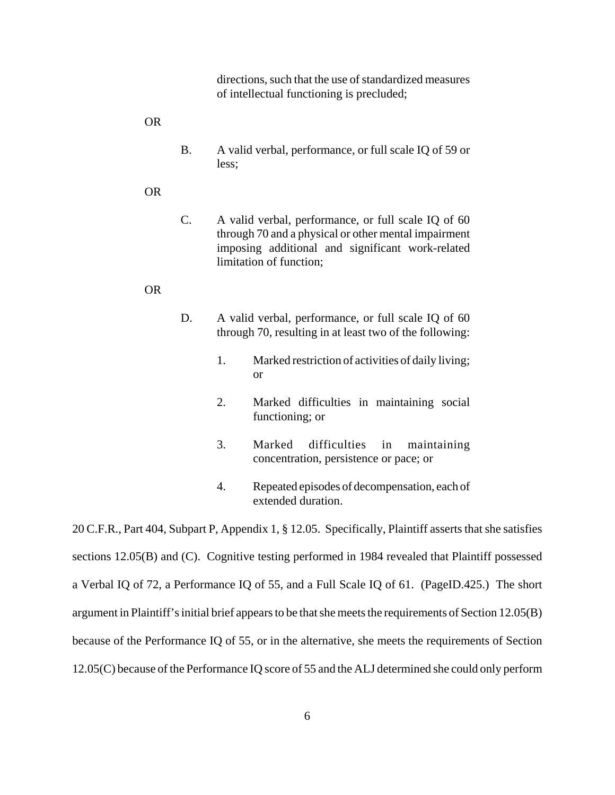directions, such that the use of standardized measures of intellectual functioning is precluded;

OR

- B. A valid verbal, performance, or full scale IQ of 59 or less;
- OR
- C. A valid verbal, performance, or full scale IQ of 60 through 70 and a physical or other mental impairment imposing additional and significant work-related limitation of function;

#### OR

- D. A valid verbal, performance, or full scale IQ of 60 through 70, resulting in at least two of the following:
	- 1. Marked restriction of activities of daily living; or
	- 2. Marked difficulties in maintaining social functioning; or
	- 3. Marked difficulties in maintaining concentration, persistence or pace; or
	- 4. Repeated episodes of decompensation, each of extended duration.

20 C.F.R., Part 404, Subpart P, Appendix 1, § 12.05. Specifically, Plaintiff asserts that she satisfies sections 12.05(B) and (C). Cognitive testing performed in 1984 revealed that Plaintiff possessed a Verbal IQ of 72, a Performance IQ of 55, and a Full Scale IQ of 61. (PageID.425.) The short argument in Plaintiff's initial brief appears to be that she meets the requirements of Section 12.05(B) because of the Performance IQ of 55, or in the alternative, she meets the requirements of Section 12.05(C) because of the Performance IQ score of 55 and the ALJ determined she could only perform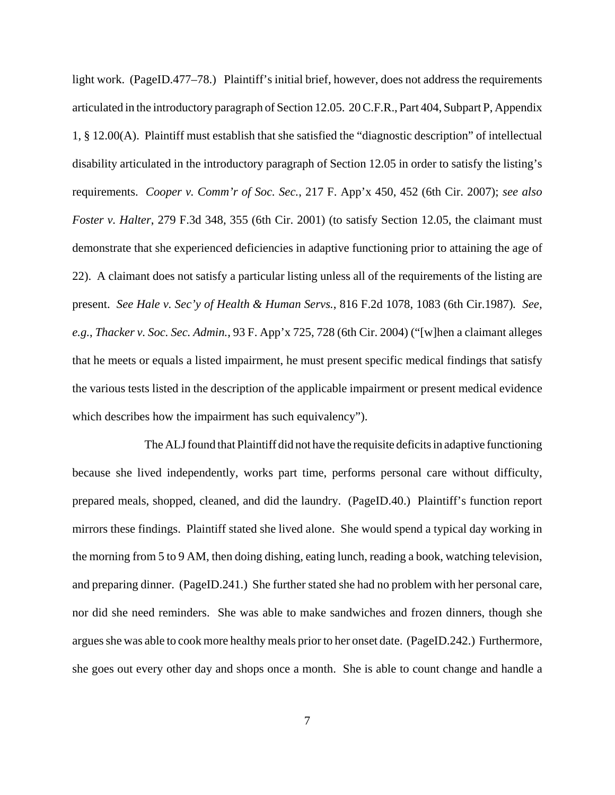light work. (PageID.477–78.) Plaintiff's initial brief, however, does not address the requirements articulated in the introductory paragraph of Section 12.05. 20 C.F.R., Part 404, Subpart P, Appendix 1, § 12.00(A). Plaintiff must establish that she satisfied the "diagnostic description" of intellectual disability articulated in the introductory paragraph of Section 12.05 in order to satisfy the listing's requirements. *Cooper v. Comm'r of Soc. Sec.*, 217 F. App'x 450, 452 (6th Cir. 2007); *see also Foster v. Halter*, 279 F.3d 348, 355 (6th Cir. 2001) (to satisfy Section 12.05, the claimant must demonstrate that she experienced deficiencies in adaptive functioning prior to attaining the age of 22). A claimant does not satisfy a particular listing unless all of the requirements of the listing are present. *See Hale v. Sec'y of Health & Human Servs.*, 816 F.2d 1078, 1083 (6th Cir.1987)*. See, e.g.*, *Thacker v. Soc. Sec. Admin.*, 93 F. App'x 725, 728 (6th Cir. 2004) ("[w]hen a claimant alleges that he meets or equals a listed impairment, he must present specific medical findings that satisfy the various tests listed in the description of the applicable impairment or present medical evidence which describes how the impairment has such equivalency".

The ALJ found that Plaintiff did not have the requisite deficits in adaptive functioning because she lived independently, works part time, performs personal care without difficulty, prepared meals, shopped, cleaned, and did the laundry. (PageID.40.) Plaintiff's function report mirrors these findings. Plaintiff stated she lived alone. She would spend a typical day working in the morning from 5 to 9 AM, then doing dishing, eating lunch, reading a book, watching television, and preparing dinner. (PageID.241.) She further stated she had no problem with her personal care, nor did she need reminders. She was able to make sandwiches and frozen dinners, though she argues she was able to cook more healthy meals prior to her onset date. (PageID.242.) Furthermore, she goes out every other day and shops once a month. She is able to count change and handle a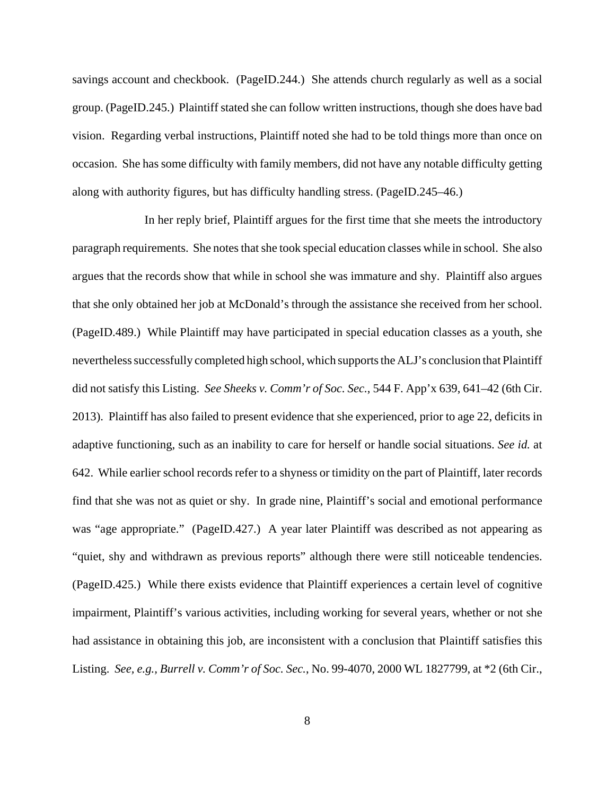savings account and checkbook. (PageID.244.) She attends church regularly as well as a social group. (PageID.245.) Plaintiff stated she can follow written instructions, though she does have bad vision. Regarding verbal instructions, Plaintiff noted she had to be told things more than once on occasion. She has some difficulty with family members, did not have any notable difficulty getting along with authority figures, but has difficulty handling stress. (PageID.245–46.)

In her reply brief, Plaintiff argues for the first time that she meets the introductory paragraph requirements. She notes that she took special education classes while in school. She also argues that the records show that while in school she was immature and shy. Plaintiff also argues that she only obtained her job at McDonald's through the assistance she received from her school. (PageID.489.) While Plaintiff may have participated in special education classes as a youth, she nevertheless successfully completed high school, which supports the ALJ's conclusion that Plaintiff did not satisfy this Listing. *See Sheeks v. Comm'r of Soc. Sec.*, 544 F. App'x 639, 641–42 (6th Cir. 2013). Plaintiff has also failed to present evidence that she experienced, prior to age 22, deficits in adaptive functioning, such as an inability to care for herself or handle social situations. *See id.* at 642. While earlier school records refer to a shyness or timidity on the part of Plaintiff, later records find that she was not as quiet or shy. In grade nine, Plaintiff's social and emotional performance was "age appropriate." (PageID.427.) A year later Plaintiff was described as not appearing as "quiet, shy and withdrawn as previous reports" although there were still noticeable tendencies. (PageID.425.) While there exists evidence that Plaintiff experiences a certain level of cognitive impairment, Plaintiff's various activities, including working for several years, whether or not she had assistance in obtaining this job, are inconsistent with a conclusion that Plaintiff satisfies this Listing. *See, e.g., Burrell v. Comm'r of Soc. Sec.*, No. 99-4070, 2000 WL 1827799, at \*2 (6th Cir.,